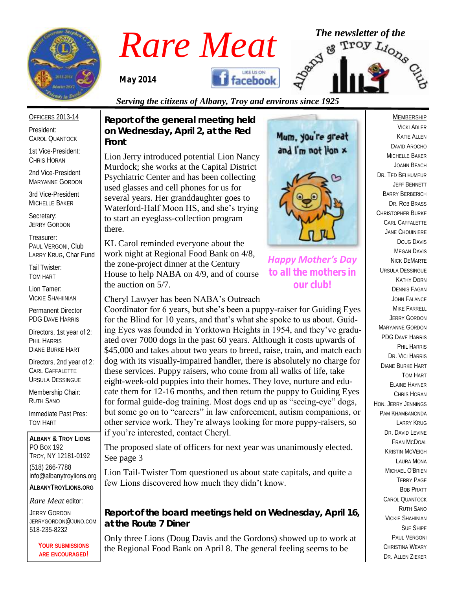

# *Rare Meat* The newsletter of the **Rare Meat** of the strong of  $\mathbb{F}_{\text{2}}^{\text{new}}$

*May 2014* 



# *Serving the citizens of Albany, Troy and environs since 1925*

OFFICERS 2013-14

President: CAROL QUANTOCK

1st Vice-President: CHRIS HORAN

2nd Vice-President MARYANNE GORDON

3rd Vice-President MICHELLE BAKER

Secretary: JERRY GORDON

Treasurer: PAUL VERGONI, Club LARRY KRUG, Char Fund

Tail Twister: TOM HART

Lion Tamer: VICKIE SHAHIINIAN

Permanent Director PDG DAVE HARRIS

Directors, 1st year of 2: PHIL HARRIS DIANE BURKE HART

Directors, 2nd year of 2: CARL CAFFALETTE URSULA DESSINGUE

Membership Chair: RUTH SANO

Immediate Past Pres: TOM HART

**ALBANY & TROY LIONS** PO BOX 192 TROY, NY 12181-0192 (518) 266-7788 info@albanytroylions.org **ALBANYTROYLIONS.ORG**

*Rare Meat* editor:

JERRY GORDON JERRYGORDON@JUNO.COM 518-235-8232

> **YOUR SUBMISSIONS ARE ENCOURAGED!**

*Report of the general meeting held on Wednesday, April 2, at the Red Front* 

Lion Jerry introduced potential Lion Nancy Murdock; she works at the Capital District Psychiatric Center and has been collecting used glasses and cell phones for us for several years. Her granddaughter goes to Waterford-Half Moon HS, and she's trying to start an eyeglass-collection program there.

KL Carol reminded everyone about the work night at Regional Food Bank on 4/8, the zone-project dinner at the Century House to help NABA on 4/9, and of course the auction on 5/7.

Cheryl Lawyer has been NABA's Outreach

Coordinator for 6 years, but she's been a puppy-raiser for Guiding Eyes for the Blind for 10 years, and that's what she spoke to us about. Guiding Eyes was founded in Yorktown Heights in 1954, and they've graduated over 7000 dogs in the past 60 years. Although it costs upwards of \$45,000 and takes about two years to breed, raise, train, and match each dog with its visually-impaired handler, there is absolutely no charge for these services. Puppy raisers, who come from all walks of life, take eight-week-old puppies into their homes. They love, nurture and educate them for 12-16 months, and then return the puppy to Guiding Eyes for formal guide-dog training. Most dogs end up as "seeing-eye" dogs, but some go on to "careers" in law enforcement, autism companions, or other service work. They're always looking for more puppy-raisers, so if you're interested, contact Cheryl.

The proposed slate of officers for next year was unanimously elected. See page 3

Lion Tail-Twister Tom questioned us about state capitals, and quite a few Lions discovered how much they didn't know.

*Report of the board meetings held on Wednesday, April 16, at the Route 7 Diner* 

Only three Lions (Doug Davis and the Gordons) showed up to work at the Regional Food Bank on April 8. The general feeling seems to be

Mum. you're great and I'm not lion x



*Happy Mother's Day to all the mothers in our club!*

DAVID AROCHO MICHELLE BAKER JOANN BEACH DR. TED BELHUMEUR JEFF BENNETT BARRY BERBERICH DR. ROB BRASS CHRISTOPHER BURKE CARL CAFFALETTE JANE CHOUINIERE DOUG DAVIS **MEGAN DAVIS** NICK DEMARTE URSULA DESSINGUE KATHY DORN DENNIS FAGAN JOHN FALANCE MIKE FARRELL JERRY GORDON MARYANNE GORDON PDG DAVE HARRIS PHIL HARRIS DR. VICI HARRIS DIANE BURKE HART TOM HART ELAINE HAYNER CHRIS HORAN HON. JERRY JENNINGS PAM KHAMBANONDA LARRY KRUG DR. DAVID I FVINE FRAN MCDOAL KRISTIN MCVEIGH LAURA MONA MICHAEL O'BRIEN TERRY PAGE BOB PRATT CAROL QUANTOCK RUTH SANO VICKIE SHAHINIAN SUE SHIPE PAUL VERGONI CHRISTINA WEARY DR. ALLEN ZIEKER

MEMBERSHIP VICKI ADLER KATIE ALLEN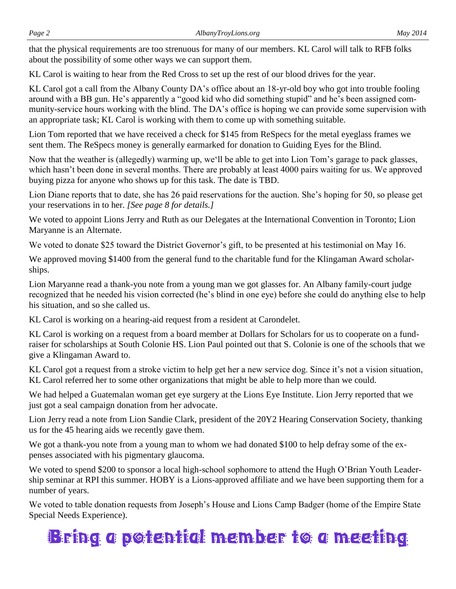that the physical requirements are too strenuous for many of our members. KL Carol will talk to RFB folks about the possibility of some other ways we can support them.

KL Carol is waiting to hear from the Red Cross to set up the rest of our blood drives for the year.

KL Carol got a call from the Albany County DA's office about an 18-yr-old boy who got into trouble fooling around with a BB gun. He's apparently a "good kid who did something stupid" and he's been assigned community-service hours working with the blind. The DA's office is hoping we can provide some supervision with an appropriate task; KL Carol is working with them to come up with something suitable.

Lion Tom reported that we have received a check for \$145 from ReSpecs for the metal eyeglass frames we sent them. The ReSpecs money is generally earmarked for donation to Guiding Eyes for the Blind.

Now that the weather is (allegedly) warming up, we'll be able to get into Lion Tom's garage to pack glasses, which hasn't been done in several months. There are probably at least 4000 pairs waiting for us. We approved buying pizza for anyone who shows up for this task. The date is TBD.

Lion Diane reports that to date, she has 26 paid reservations for the auction. She's hoping for 50, so please get your reservations in to her. *[See page 8 for details.]*

We voted to appoint Lions Jerry and Ruth as our Delegates at the International Convention in Toronto; Lion Maryanne is an Alternate.

We voted to donate \$25 toward the District Governor's gift, to be presented at his testimonial on May 16.

We approved moving \$1400 from the general fund to the charitable fund for the Klingaman Award scholarships.

Lion Maryanne read a thank-you note from a young man we got glasses for. An Albany family-court judge recognized that he needed his vision corrected (he's blind in one eye) before she could do anything else to help his situation, and so she called us.

KL Carol is working on a hearing-aid request from a resident at Carondelet.

KL Carol is working on a request from a board member at Dollars for Scholars for us to cooperate on a fundraiser for scholarships at South Colonie HS. Lion Paul pointed out that S. Colonie is one of the schools that we give a Klingaman Award to.

KL Carol got a request from a stroke victim to help get her a new service dog. Since it's not a vision situation, KL Carol referred her to some other organizations that might be able to help more than we could.

We had helped a Guatemalan woman get eye surgery at the Lions Eye Institute. Lion Jerry reported that we just got a seal campaign donation from her advocate.

Lion Jerry read a note from Lion Sandie Clark, president of the 20Y2 Hearing Conservation Society, thanking us for the 45 hearing aids we recently gave them.

We got a thank-you note from a young man to whom we had donated \$100 to help defray some of the expenses associated with his pigmentary glaucoma.

We voted to spend \$200 to sponsor a local high-school sophomore to attend the Hugh O'Brian Youth Leadership seminar at RPI this summer. HOBY is a Lions-approved affiliate and we have been supporting them for a number of years.

We voted to table donation requests from Joseph's House and Lions Camp Badger (home of the Empire State Special Needs Experience).

# Bring a potential member to a meeting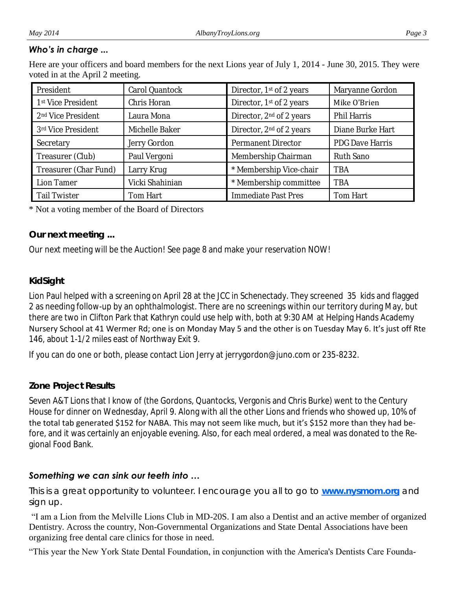#### *Who's in charge ...*

Here are your officers and board members for the next Lions year of July 1, 2014 - June 30, 2015. They were voted in at the April 2 meeting.

| President                      | Carol Quantock  | Director, 1 <sup>st</sup> of 2 years | Maryanne Gordon  |  |
|--------------------------------|-----------------|--------------------------------------|------------------|--|
| 1 <sup>st</sup> Vice President | Chris Horan     | Director, 1st of 2 years             | Mike O'Brien     |  |
| 2 <sup>nd</sup> Vice President | Laura Mona      | Director, 2 <sup>nd</sup> of 2 years | Phil Harris      |  |
| 3rd Vice President             | Michelle Baker  | Director, 2 <sup>nd</sup> of 2 years | Diane Burke Hart |  |
| Secretary                      | Jerry Gordon    | Permanent Director                   | PDG Dave Harris  |  |
| Treasurer (Club)               | Paul Vergoni    | Membership Chairman                  | Ruth Sano        |  |
| Treasurer (Char Fund)          | Larry Krug      | * Membership Vice-chair              | <b>TBA</b>       |  |
| Lion Tamer                     | Vicki Shahinian | * Membership committee               | <b>TBA</b>       |  |
| <b>Tail Twister</b>            | Tom Hart        | Immediate Past Pres                  | Tom Hart         |  |

#### \* Not a voting member of the Board of Directors

# *Our next meeting ...*

Our next meeting will be the Auction! See page 8 and make your reservation NOW!

# *KidSight*

Lion Paul helped with a screening on April 28 at the JCC in Schenectady. They screened 35 kids and flagged 2 as needing follow-up by an ophthalmologist. There are no screenings within our territory during May, but there are two in Clifton Park that Kathryn could use help with, both at 9:30 AM at Helping Hands Academy Nursery School at 41 Wermer Rd; one is on Monday May 5 and the other is on Tuesday May 6. It's just off Rte 146, about 1-1/2 miles east of Northway Exit 9.

If you can do one or both, please contact Lion Jerry at jerrygordon@juno.com or 235-8232.

# *Zone Project Results*

Seven A&T Lions that I know of (the Gordons, Quantocks, Vergonis and Chris Burke) went to the Century House for dinner on Wednesday, April 9. Along with all the other Lions and friends who showed up, 10% of the total tab generated \$152 for NABA. This may not seem like much, but it's \$152 more than they had before, and it was certainly an enjoyable evening. Also, for each meal ordered, a meal was donated to the Regional Food Bank.

# *Something we can sink our teeth into …*

*This is a great opportunity to volunteer. I encourage you all to go to www.nysmom.org and sign up.*

"I am a Lion from the Melville Lions Club in MD-20S. I am also a Dentist and an active member of organized Dentistry. Across the country, Non-Governmental Organizations and State Dental Associations have been organizing free dental care clinics for those in need.

"This year the New York State Dental Foundation, in conjunction with the America's Dentists Care Founda-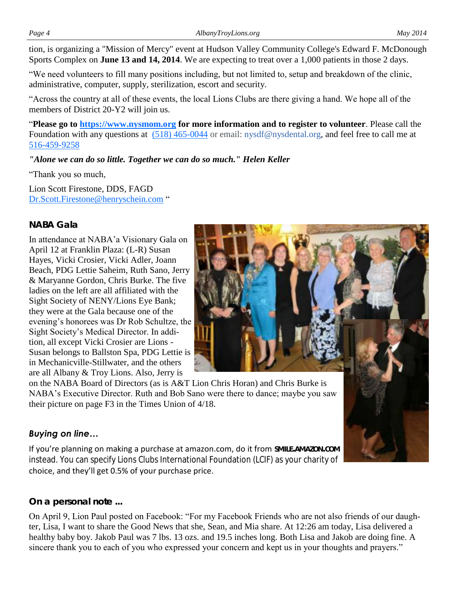tion, is organizing a "Mission of Mercy" event at Hudson Valley Community College's Edward F. McDonough [Sports Complex](https://www.hvcc.edu/campusmap/campus_map.html) on **June 13 and 14, 2014**. We are expecting to treat over a 1,000 patients in those 2 days.

"We need volunteers to fill many positions including, but not limited to, setup and breakdown of the clinic, administrative, computer, supply, sterilization, escort and security.

"Across the country at all of these events, the local Lions Clubs are there giving a hand. We hope all of the members of District 20-Y2 will join us.

"**Please go to [https://www.nysmom.org](https://www.nysmom.org/) for more information and to register to volunteer**. Please call the Foundation with any questions at [\(518\) 465-0044](tel:%28518%29%20465-0044) or email: [nysdf@nysdental.org, and f](mailto:nysdf@nysdental.org)eel free to call me at [516-459-9258](tel:516-459-9258)

*"Alone we can do so little. Together we can do so much." Helen Keller*

"Thank you so much,

Lion Scott Firestone, DDS, FAGD [Dr.Scott.Firestone@henryschein.com](mailto:Dr.Scott.Firestone@henryschein.com) "

# *NABA Gala*

In attendance at NABA'a Visionary Gala on April 12 at Franklin Plaza: (L-R) Susan Hayes, Vicki Crosier, Vicki Adler, Joann Beach, PDG Lettie Saheim, Ruth Sano, Jerry & Maryanne Gordon, Chris Burke. The five ladies on the left are all affiliated with the Sight Society of NENY/Lions Eye Bank; they were at the Gala because one of the evening's honorees was Dr Rob Schultze, the Sight Society's Medical Director. In addition, all except Vicki Crosier are Lions - Susan belongs to Ballston Spa, PDG Lettie is in Mechanicville-Stillwater, and the others are all Albany & Troy Lions. Also, Jerry is



on the NABA Board of Directors (as is A&T Lion Chris Horan) and Chris Burke is NABA's Executive Director. Ruth and Bob Sano were there to dance; maybe you saw their picture on page F3 in the Times Union of 4/18.

# *Buying on line…*

If you're planning on making a purchase at amazon.com, do it from **SMILE.AMAZON.COM** instead. You can specify Lions Clubs International Foundation (LCIF) as your charity of choice, and they'll get 0.5% of your purchase price.

# *On a personal note ...*

On April 9, Lion Paul posted on Facebook: "For my Facebook Friends who are not also friends of our daughter, Lisa, I want to share the Good News that she, Sean, and Mia share. At 12:26 am today, Lisa delivered a healthy baby boy. Jakob Paul was 7 lbs. 13 ozs. and 19.5 inches long. Both Lisa and Jakob are doing fine. A sincere thank you to each of you who expressed your concern and kept us in your thoughts and prayers."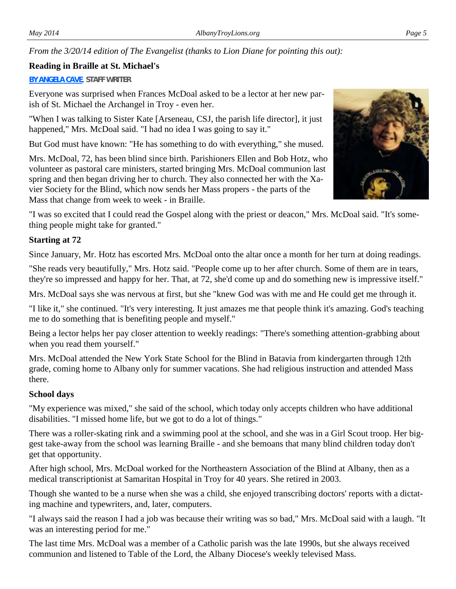*From the 3/20/14 edition of The Evangelist (thanks to Lion Diane for pointing this out):*

#### **Reading in Braille at St. Michael's**

#### **[BY ANGELA CAVE](mailto:Angela.Cave@rcda.org)**, **STAFF WRITER**

Everyone was surprised when Frances McDoal asked to be a lector at her new parish of St. Michael the Archangel in Troy - even her.

"When I was talking to Sister Kate [Arseneau, CSJ, the parish life director], it just happened," Mrs. McDoal said. "I had no idea I was going to say it."

But God must have known: "He has something to do with everything," she mused.

Mrs. McDoal, 72, has been blind since birth. Parishioners Ellen and Bob Hotz, who volunteer as pastoral care ministers, started bringing Mrs. McDoal communion last spring and then began driving her to church. They also connected her with the Xavier Society for the Blind, which now sends her Mass propers - the parts of the Mass that change from week to week - in Braille.

"I was so excited that I could read the Gospel along with the priest or deacon," Mrs. McDoal said. "It's something people might take for granted."

# **Starting at 72**

Since January, Mr. Hotz has escorted Mrs. McDoal onto the altar once a month for her turn at doing readings.

"She reads very beautifully," Mrs. Hotz said. "People come up to her after church. Some of them are in tears, they're so impressed and happy for her. That, at 72, she'd come up and do something new is impressive itself."

Mrs. McDoal says she was nervous at first, but she "knew God was with me and He could get me through it.

"I like it," she continued. "It's very interesting. It just amazes me that people think it's amazing. God's teaching me to do something that is benefiting people and myself."

Being a lector helps her pay closer attention to weekly readings: "There's something attention-grabbing about when you read them yourself."

Mrs. McDoal attended the New York State School for the Blind in Batavia from kindergarten through 12th grade, coming home to Albany only for summer vacations. She had religious instruction and attended Mass there.

#### **School days**

"My experience was mixed," she said of the school, which today only accepts children who have additional disabilities. "I missed home life, but we got to do a lot of things."

There was a roller-skating rink and a swimming pool at the school, and she was in a Girl Scout troop. Her biggest take-away from the school was learning Braille - and she bemoans that many blind children today don't get that opportunity.

After high school, Mrs. McDoal worked for the Northeastern Association of the Blind at Albany, then as a medical transcriptionist at Samaritan Hospital in Troy for 40 years. She retired in 2003.

Though she wanted to be a nurse when she was a child, she enjoyed transcribing doctors' reports with a dictating machine and typewriters, and, later, computers.

"I always said the reason I had a job was because their writing was so bad," Mrs. McDoal said with a laugh. "It was an interesting period for me."

The last time Mrs. McDoal was a member of a Catholic parish was the late 1990s, but she always received communion and listened to Table of the Lord, the Albany Diocese's weekly televised Mass.

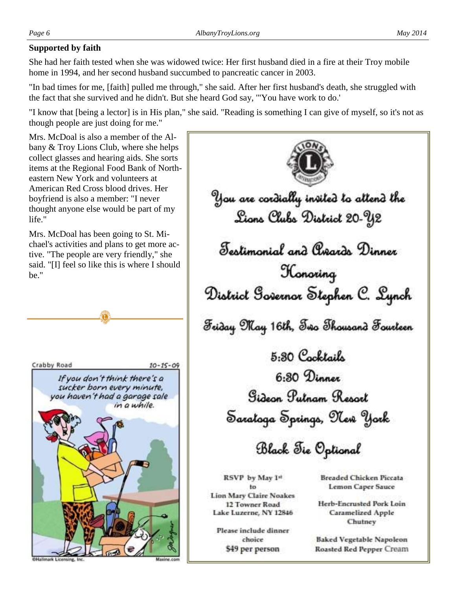# **Supported by faith**

She had her faith tested when she was widowed twice: Her first husband died in a fire at their Troy mobile home in 1994, and her second husband succumbed to pancreatic cancer in 2003.

"In bad times for me, [faith] pulled me through," she said. After her first husband's death, she struggled with the fact that she survived and he didn't. But she heard God say, '"You have work to do.'

"I know that [being a lector] is in His plan," she said. "Reading is something I can give of myself, so it's not as though people are just doing for me."

Mrs. McDoal is also a member of the Albany & Troy Lions Club, where she helps collect glasses and hearing aids. She sorts items at the Regional Food Bank of Northeastern New York and volunteers at American Red Cross blood drives. Her boyfriend is also a member: "I never thought anyone else would be part of my life."

Mrs. McDoal has been going to St. Michael's activities and plans to get more active. "The people are very friendly," she said. "[I] feel so like this is where I should be."





You are cordially insited to altend the Lions Clubs District 20-Y2 Testimonial and Creards Dinner Konoring District Governor Stephen C. Lynch Friday May 16th, Freo Thousand Fourteen 5.30 Cocktails 6:30 Dinner Gidean Putnam Report Sarataga Springs, 91er York Black Fie Optional

RSVP by May 1st to **Lion Mary Claire Noakes** 12 Towner Road Lake Luzerne, NY 12846

Please include dinner choice \$49 per person

**Breaded Chicken Piccata Lemon Caper Sauce** 

Herb-Encrusted Pork Loin **Caramelized Apple** Chutney

**Baked Vegetable Napoleon** Roasted Red Pepper Cream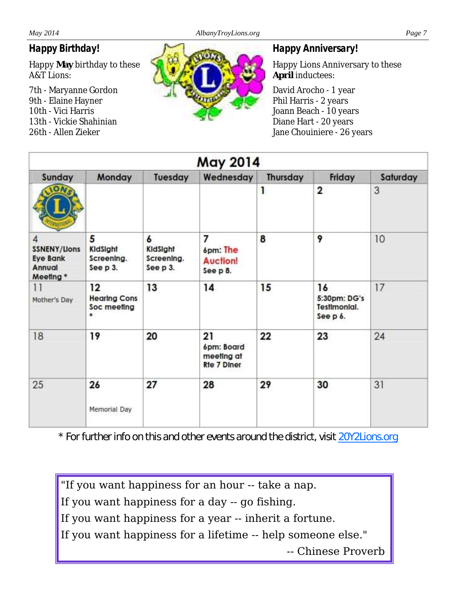# *Happy Birthday!*

Happy **May** birthday to these A&T Lions:

7th - Maryanne Gordon 9th - Elaine Hayner 10th - Vici Harris 13th - Vickie Shahinian 26th - Allen Zieker



### *Happy Anniversary!*

Happy Lions Anniversary to these **April** inductees:

David Arocho - 1 year Phil Harris - 2 years Joann Beach - 10 years Diane Hart - 20 years Jane Chouiniere - 26 years

| May 2014                                                          |                                               |                                         |                                                      |          |                                                |          |  |
|-------------------------------------------------------------------|-----------------------------------------------|-----------------------------------------|------------------------------------------------------|----------|------------------------------------------------|----------|--|
| Sunday                                                            | Monday                                        | Tuesday                                 | Wednesday                                            | Thursday | Friday                                         | Saturday |  |
|                                                                   |                                               |                                         |                                                      | 1        | $\overline{2}$                                 | 3        |  |
| 4<br><b>SSNENY/Lions</b><br><b>Eye Bank</b><br>Annual<br>Meeting* | 5<br>KidSight<br>Screening.<br>See p 3.       | 6<br>KidSight<br>Screening.<br>See p 3. | 7<br>6pm: The<br><b>Auction!</b><br>See p 8.         | 8        | 9                                              | 10       |  |
| $\overline{11}$<br>Mother's Day                                   | 12<br><b>Hearing Cons</b><br>Soc meeting<br>* | 13                                      | 14                                                   | 15       | 16<br>5:30pm: DG's<br>TestImonial.<br>See p 6. | 17       |  |
| 18                                                                | 19                                            | 20                                      | 21<br>6pm: Board<br>meeting at<br><b>Rte 7 Diner</b> | 22       | 23                                             | 24       |  |
| 25                                                                | 26<br>Memorial Day                            | 27                                      | 28                                                   | 29       | 30                                             | 31       |  |

*\* For further info on this and other events around the district, visit [20Y2Lions.org](http://20Y2Lions.org)*

"If you want happiness for an hour -- take a nap.

If you want happiness for a day -- go fishing.

If you want happiness for a year -- inherit a fortune.

If you want happiness for a lifetime -- help someone else."

-- Chinese Proverb